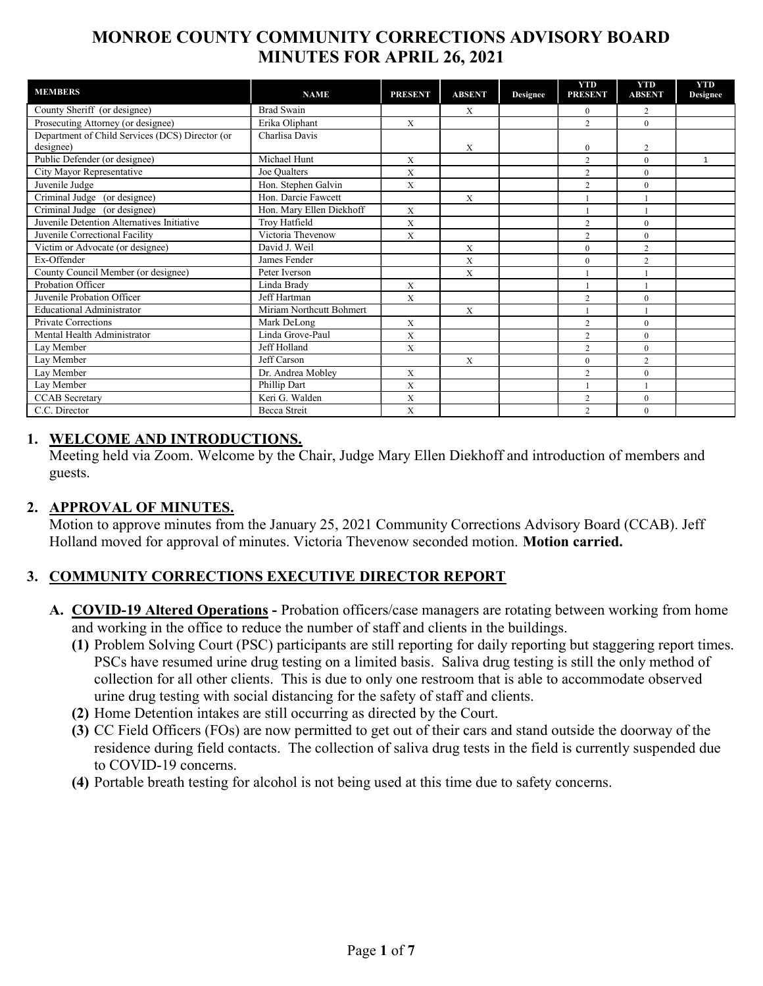# MONROE COUNTY COMMUNITY CORRECTIONS ADVISORY BOARD MINUTES FOR APRIL 26, 2021

| <b>MEMBERS</b>                                  | <b>NAME</b>              | <b>PRESENT</b> | <b>ABSENT</b> | <b>Designee</b> | <b>YTD</b><br><b>PRESENT</b> | <b>YTD</b><br><b>ABSENT</b> | <b>YTD</b><br><b>Designee</b> |
|-------------------------------------------------|--------------------------|----------------|---------------|-----------------|------------------------------|-----------------------------|-------------------------------|
| County Sheriff (or designee)                    | <b>Brad Swain</b>        |                | X             |                 | $\overline{0}$               | 2                           |                               |
| Prosecuting Attorney (or designee)              | Erika Oliphant           | X              |               |                 | $\overline{2}$               | $\theta$                    |                               |
| Department of Child Services (DCS) Director (or | Charlisa Davis           |                |               |                 |                              |                             |                               |
| designee)                                       |                          |                | X             |                 | $\overline{0}$               | 2                           |                               |
| Public Defender (or designee)                   | Michael Hunt             | X              |               |                 | $\overline{2}$               | $\mathbf{0}$                | $\mathbf{1}$                  |
| City Mayor Representative                       | Joe Qualters             | X              |               |                 | $\overline{2}$               | $\theta$                    |                               |
| Juvenile Judge                                  | Hon. Stephen Galvin      | X              |               |                 | $\overline{2}$               | $\theta$                    |                               |
| Criminal Judge (or designee)                    | Hon. Darcie Fawcett      |                | $\mathbf{X}$  |                 |                              |                             |                               |
| Criminal Judge (or designee)                    | Hon. Mary Ellen Diekhoff | $\mathbf X$    |               |                 |                              |                             |                               |
| Juvenile Detention Alternatives Initiative      | Troy Hatfield            | X              |               |                 | $\overline{2}$               | $\mathbf{0}$                |                               |
| Juvenile Correctional Facility                  | Victoria Thevenow        | X              |               |                 | $\overline{c}$               | $\theta$                    |                               |
| Victim or Advocate (or designee)                | David J. Weil            |                | X             |                 | $\theta$                     | $\overline{2}$              |                               |
| Ex-Offender                                     | James Fender             |                | X             |                 | $\mathbf{0}$                 | $\overline{c}$              |                               |
| County Council Member (or designee)             | Peter Iverson            |                | X             |                 |                              |                             |                               |
| Probation Officer                               | Linda Brady              | X              |               |                 |                              |                             |                               |
| Juvenile Probation Officer                      | Jeff Hartman             | X              |               |                 | $\overline{2}$               | $\mathbf{0}$                |                               |
| <b>Educational Administrator</b>                | Miriam Northcutt Bohmert |                | X             |                 |                              |                             |                               |
| <b>Private Corrections</b>                      | Mark DeLong              | X              |               |                 | $\overline{2}$               | $\mathbf{0}$                |                               |
| Mental Health Administrator                     | Linda Grove-Paul         | X              |               |                 | $\overline{c}$               | $\theta$                    |                               |
| Lay Member                                      | Jeff Holland             | X              |               |                 | $\overline{2}$               | $\mathbf{0}$                |                               |
| Lav Member                                      | Jeff Carson              |                | X             |                 | $\mathbf{0}$                 | $\overline{2}$              |                               |
| Lay Member                                      | Dr. Andrea Mobley        | X              |               |                 | $\overline{2}$               | $\theta$                    |                               |
| Lay Member                                      | Phillip Dart             | X              |               |                 |                              |                             |                               |
| <b>CCAB</b> Secretary                           | Keri G. Walden           | X              |               |                 | $\overline{2}$               | $\mathbf{0}$                |                               |
| C.C. Director                                   | <b>Becca</b> Streit      | X              |               |                 | $\overline{c}$               | $\theta$                    |                               |

#### 1. WELCOME AND INTRODUCTIONS.

Meeting held via Zoom. Welcome by the Chair, Judge Mary Ellen Diekhoff and introduction of members and guests.

#### 2. APPROVAL OF MINUTES.

Motion to approve minutes from the January 25, 2021 Community Corrections Advisory Board (CCAB). Jeff Holland moved for approval of minutes. Victoria Thevenow seconded motion. Motion carried.

## 3. COMMUNITY CORRECTIONS EXECUTIVE DIRECTOR REPORT

- A. COVID-19 Altered Operations Probation officers/case managers are rotating between working from home and working in the office to reduce the number of staff and clients in the buildings.
	- (1) Problem Solving Court (PSC) participants are still reporting for daily reporting but staggering report times. PSCs have resumed urine drug testing on a limited basis. Saliva drug testing is still the only method of collection for all other clients. This is due to only one restroom that is able to accommodate observed urine drug testing with social distancing for the safety of staff and clients.
	- (2) Home Detention intakes are still occurring as directed by the Court.
	- (3) CC Field Officers (FOs) are now permitted to get out of their cars and stand outside the doorway of the residence during field contacts. The collection of saliva drug tests in the field is currently suspended due to COVID-19 concerns.
	- (4) Portable breath testing for alcohol is not being used at this time due to safety concerns.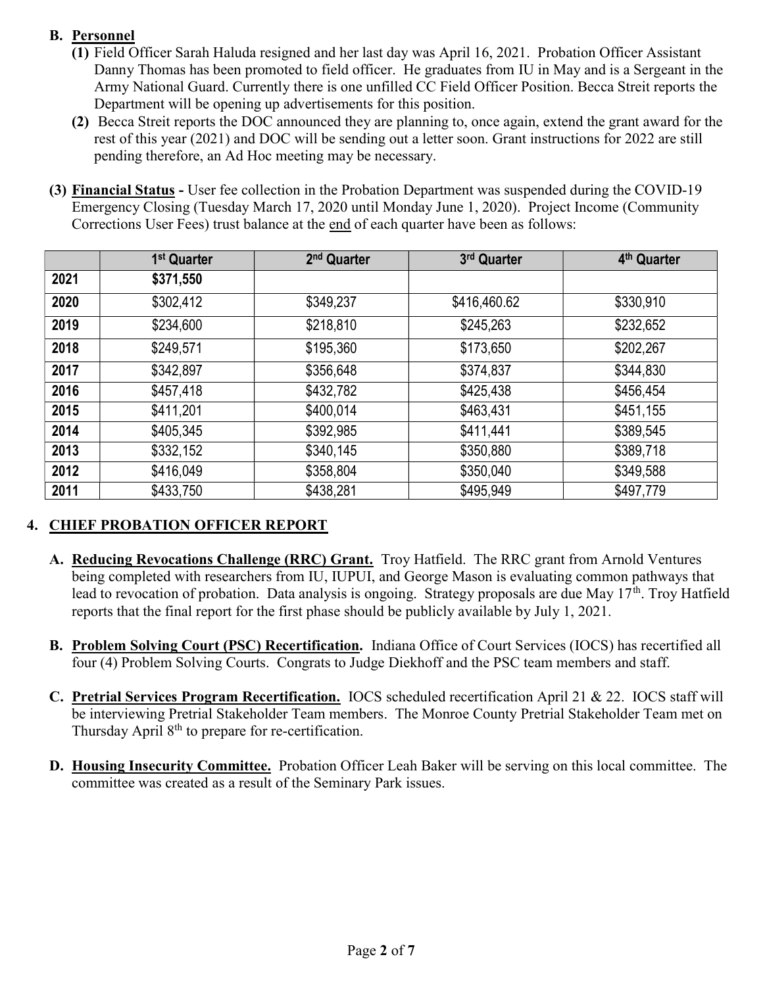## B. Personnel

- (1) Field Officer Sarah Haluda resigned and her last day was April 16, 2021. Probation Officer Assistant Danny Thomas has been promoted to field officer. He graduates from IU in May and is a Sergeant in the Army National Guard. Currently there is one unfilled CC Field Officer Position. Becca Streit reports the Department will be opening up advertisements for this position.
- (2) Becca Streit reports the DOC announced they are planning to, once again, extend the grant award for the rest of this year (2021) and DOC will be sending out a letter soon. Grant instructions for 2022 are still pending therefore, an Ad Hoc meeting may be necessary.
- (3) Financial Status User fee collection in the Probation Department was suspended during the COVID-19 Emergency Closing (Tuesday March 17, 2020 until Monday June 1, 2020). Project Income (Community Corrections User Fees) trust balance at the end of each quarter have been as follows:

|      | 1 <sup>st</sup> Quarter | 2 <sup>nd</sup> Quarter | 3rd Quarter  | 4 <sup>th</sup> Quarter |
|------|-------------------------|-------------------------|--------------|-------------------------|
| 2021 | \$371,550               |                         |              |                         |
| 2020 | \$302,412               | \$349,237               | \$416,460.62 | \$330,910               |
| 2019 | \$234,600               | \$218,810               | \$245,263    | \$232,652               |
| 2018 | \$249,571               | \$195,360               | \$173,650    | \$202,267               |
| 2017 | \$342,897               | \$356,648               | \$374,837    | \$344,830               |
| 2016 | \$457,418               | \$432,782               | \$425,438    | \$456,454               |
| 2015 | \$411,201               | \$400,014               | \$463,431    | \$451,155               |
| 2014 | \$405,345               | \$392,985               | \$411,441    | \$389,545               |
| 2013 | \$332,152               | \$340,145               | \$350,880    | \$389,718               |
| 2012 | \$416,049               | \$358,804               | \$350,040    | \$349,588               |
| 2011 | \$433,750               | \$438,281               | \$495,949    | \$497,779               |

## 4. CHIEF PROBATION OFFICER REPORT

- A. Reducing Revocations Challenge (RRC) Grant. Troy Hatfield. The RRC grant from Arnold Ventures being completed with researchers from IU, IUPUI, and George Mason is evaluating common pathways that lead to revocation of probation. Data analysis is ongoing. Strategy proposals are due May  $17<sup>th</sup>$ . Troy Hatfield reports that the final report for the first phase should be publicly available by July 1, 2021.
- B. Problem Solving Court (PSC) Recertification. Indiana Office of Court Services (IOCS) has recertified all four (4) Problem Solving Courts. Congrats to Judge Diekhoff and the PSC team members and staff.
- C. Pretrial Services Program Recertification. IOCS scheduled recertification April 21 & 22. IOCS staff will be interviewing Pretrial Stakeholder Team members. The Monroe County Pretrial Stakeholder Team met on Thursday April  $8<sup>th</sup>$  to prepare for re-certification.
- D. Housing Insecurity Committee. Probation Officer Leah Baker will be serving on this local committee. The committee was created as a result of the Seminary Park issues.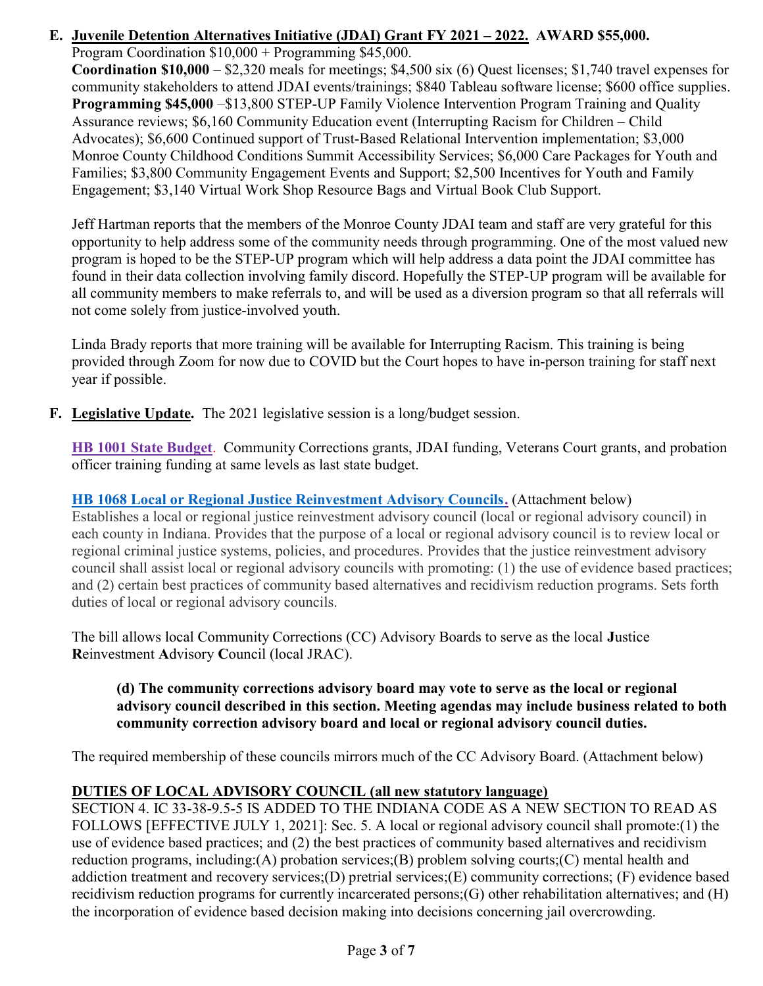# E. Juvenile Detention Alternatives Initiative (JDAI) Grant FY 2021 – 2022. AWARD \$55,000.

Program Coordination \$10,000 + Programming \$45,000. Coordination \$10,000 – \$2,320 meals for meetings; \$4,500 six (6) Quest licenses; \$1,740 travel expenses for community stakeholders to attend JDAI events/trainings; \$840 Tableau software license; \$600 office supplies. Programming \$45,000 –\$13,800 STEP-UP Family Violence Intervention Program Training and Quality Assurance reviews; \$6,160 Community Education event (Interrupting Racism for Children – Child Advocates); \$6,600 Continued support of Trust-Based Relational Intervention implementation; \$3,000 Monroe County Childhood Conditions Summit Accessibility Services; \$6,000 Care Packages for Youth and Families; \$3,800 Community Engagement Events and Support; \$2,500 Incentives for Youth and Family Engagement; \$3,140 Virtual Work Shop Resource Bags and Virtual Book Club Support.

Jeff Hartman reports that the members of the Monroe County JDAI team and staff are very grateful for this opportunity to help address some of the community needs through programming. One of the most valued new program is hoped to be the STEP-UP program which will help address a data point the JDAI committee has found in their data collection involving family discord. Hopefully the STEP-UP program will be available for all community members to make referrals to, and will be used as a diversion program so that all referrals will not come solely from justice-involved youth.

Linda Brady reports that more training will be available for Interrupting Racism. This training is being provided through Zoom for now due to COVID but the Court hopes to have in-person training for staff next year if possible.

F. Legislative Update. The 2021 legislative session is a long/budget session.

HB 1001 State Budget. Community Corrections grants, JDAI funding, Veterans Court grants, and probation officer training funding at same levels as last state budget.

#### HB 1068 Local or Regional Justice Reinvestment Advisory Councils. (Attachment below) Establishes a local or regional justice reinvestment advisory council (local or regional advisory council) in each county in Indiana. Provides that the purpose of a local or regional advisory council is to review local or regional criminal justice systems, policies, and procedures. Provides that the justice reinvestment advisory council shall assist local or regional advisory councils with promoting: (1) the use of evidence based practices; and (2) certain best practices of community based alternatives and recidivism reduction programs. Sets forth duties of local or regional advisory councils.

The bill allows local Community Corrections (CC) Advisory Boards to serve as the local Justice Reinvestment Advisory Council (local JRAC).

### (d) The community corrections advisory board may vote to serve as the local or regional advisory council described in this section. Meeting agendas may include business related to both community correction advisory board and local or regional advisory council duties.

The required membership of these councils mirrors much of the CC Advisory Board. (Attachment below)

## DUTIES OF LOCAL ADVISORY COUNCIL (all new statutory language)

SECTION 4. IC 33-38-9.5-5 IS ADDED TO THE INDIANA CODE AS A NEW SECTION TO READ AS FOLLOWS [EFFECTIVE JULY 1, 2021]: Sec. 5. A local or regional advisory council shall promote:(1) the use of evidence based practices; and (2) the best practices of community based alternatives and recidivism reduction programs, including:(A) probation services;(B) problem solving courts;(C) mental health and addiction treatment and recovery services;(D) pretrial services;(E) community corrections; (F) evidence based recidivism reduction programs for currently incarcerated persons;(G) other rehabilitation alternatives; and (H) the incorporation of evidence based decision making into decisions concerning jail overcrowding.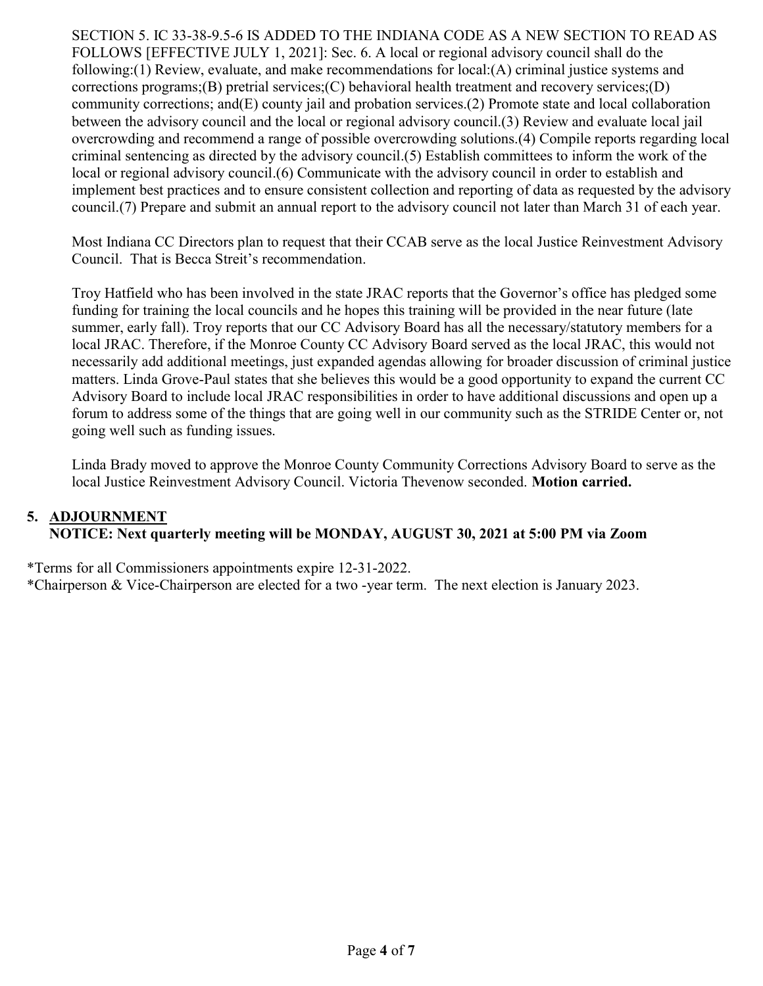SECTION 5. IC 33-38-9.5-6 IS ADDED TO THE INDIANA CODE AS A NEW SECTION TO READ AS FOLLOWS [EFFECTIVE JULY 1, 2021]: Sec. 6. A local or regional advisory council shall do the following:(1) Review, evaluate, and make recommendations for local:(A) criminal justice systems and corrections programs; $(B)$  pretrial services; $(C)$  behavioral health treatment and recovery services; $(D)$ community corrections; and(E) county jail and probation services.(2) Promote state and local collaboration between the advisory council and the local or regional advisory council.(3) Review and evaluate local jail overcrowding and recommend a range of possible overcrowding solutions.(4) Compile reports regarding local criminal sentencing as directed by the advisory council.(5) Establish committees to inform the work of the local or regional advisory council.(6) Communicate with the advisory council in order to establish and implement best practices and to ensure consistent collection and reporting of data as requested by the advisory council.(7) Prepare and submit an annual report to the advisory council not later than March 31 of each year.

Most Indiana CC Directors plan to request that their CCAB serve as the local Justice Reinvestment Advisory Council. That is Becca Streit's recommendation.

Troy Hatfield who has been involved in the state JRAC reports that the Governor's office has pledged some funding for training the local councils and he hopes this training will be provided in the near future (late summer, early fall). Troy reports that our CC Advisory Board has all the necessary/statutory members for a local JRAC. Therefore, if the Monroe County CC Advisory Board served as the local JRAC, this would not necessarily add additional meetings, just expanded agendas allowing for broader discussion of criminal justice matters. Linda Grove-Paul states that she believes this would be a good opportunity to expand the current CC Advisory Board to include local JRAC responsibilities in order to have additional discussions and open up a forum to address some of the things that are going well in our community such as the STRIDE Center or, not going well such as funding issues.

Linda Brady moved to approve the Monroe County Community Corrections Advisory Board to serve as the local Justice Reinvestment Advisory Council. Victoria Thevenow seconded. Motion carried.

#### 5. ADJOURNMENT NOTICE: Next quarterly meeting will be MONDAY, AUGUST 30, 2021 at 5:00 PM via Zoom

\*Terms for all Commissioners appointments expire 12-31-2022.

\*Chairperson & Vice-Chairperson are elected for a two -year term. The next election is January 2023.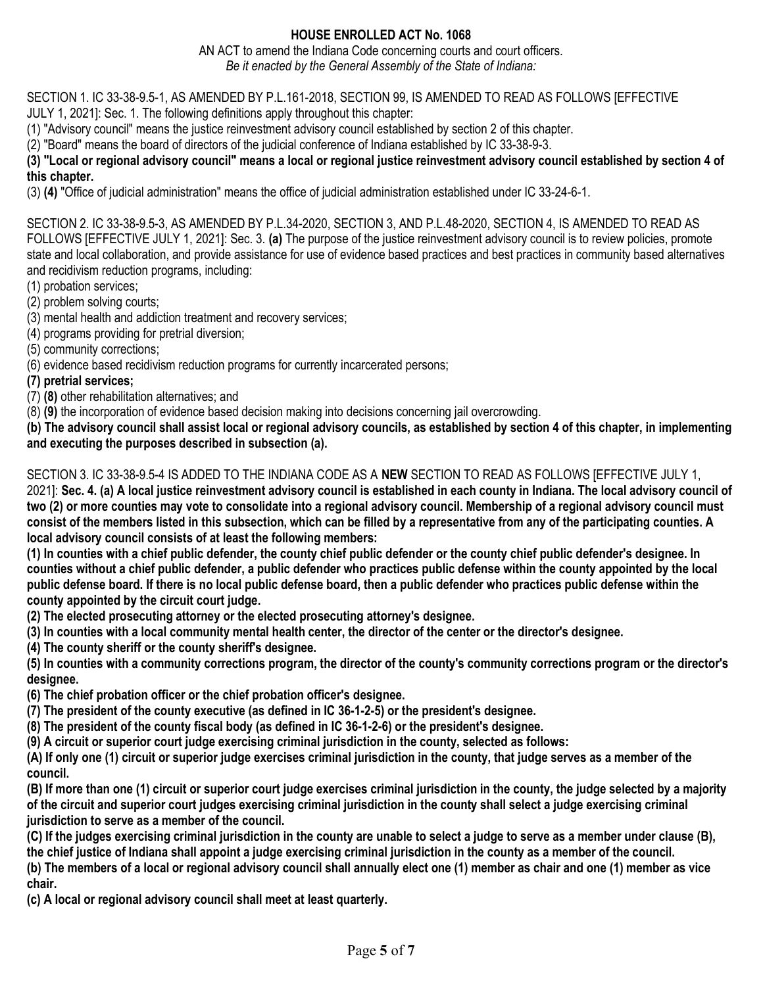#### HOUSE ENROLLED ACT No. 1068

AN ACT to amend the Indiana Code concerning courts and court officers. Be it enacted by the General Assembly of the State of Indiana:

SECTION 1. IC 33-38-9.5-1, AS AMENDED BY P.L.161-2018, SECTION 99, IS AMENDED TO READ AS FOLLOWS [EFFECTIVE

JULY 1, 2021]: Sec. 1. The following definitions apply throughout this chapter:

(1) "Advisory council" means the justice reinvestment advisory council established by section 2 of this chapter.

(2) "Board" means the board of directors of the judicial conference of Indiana established by IC 33-38-9-3.

(3) "Local or regional advisory council" means a local or regional justice reinvestment advisory council established by section 4 of this chapter.

(3) (4) "Office of judicial administration" means the office of judicial administration established under IC 33-24-6-1.

SECTION 2. IC 33-38-9.5-3, AS AMENDED BY P.L.34-2020, SECTION 3, AND P.L.48-2020, SECTION 4, IS AMENDED TO READ AS FOLLOWS [EFFECTIVE JULY 1, 2021]: Sec. 3. (a) The purpose of the justice reinvestment advisory council is to review policies, promote state and local collaboration, and provide assistance for use of evidence based practices and best practices in community based alternatives and recidivism reduction programs, including:

(1) probation services;

- (2) problem solving courts;
- (3) mental health and addiction treatment and recovery services;
- (4) programs providing for pretrial diversion;

(5) community corrections;

(6) evidence based recidivism reduction programs for currently incarcerated persons;

(7) pretrial services;

(7) (8) other rehabilitation alternatives; and

(8) (9) the incorporation of evidence based decision making into decisions concerning jail overcrowding.

(b) The advisory council shall assist local or regional advisory councils, as established by section 4 of this chapter, in implementing and executing the purposes described in subsection (a).

#### SECTION 3. IC 33-38-9.5-4 IS ADDED TO THE INDIANA CODE AS A NEW SECTION TO READ AS FOLLOWS [EFFECTIVE JULY 1,

2021]: Sec. 4. (a) A local justice reinvestment advisory council is established in each county in Indiana. The local advisory council of two (2) or more counties may vote to consolidate into a regional advisory council. Membership of a regional advisory council must consist of the members listed in this subsection, which can be filled by a representative from any of the participating counties. A local advisory council consists of at least the following members:

(1) In counties with a chief public defender, the county chief public defender or the county chief public defender's designee. In counties without a chief public defender, a public defender who practices public defense within the county appointed by the local public defense board. If there is no local public defense board, then a public defender who practices public defense within the county appointed by the circuit court judge.

(2) The elected prosecuting attorney or the elected prosecuting attorney's designee.

(3) In counties with a local community mental health center, the director of the center or the director's designee.

(4) The county sheriff or the county sheriff's designee.

(5) In counties with a community corrections program, the director of the county's community corrections program or the director's designee.

(6) The chief probation officer or the chief probation officer's designee.

(7) The president of the county executive (as defined in IC 36-1-2-5) or the president's designee.

(8) The president of the county fiscal body (as defined in IC 36-1-2-6) or the president's designee.

(9) A circuit or superior court judge exercising criminal jurisdiction in the county, selected as follows:

(A) If only one (1) circuit or superior judge exercises criminal jurisdiction in the county, that judge serves as a member of the council.

(B) If more than one (1) circuit or superior court judge exercises criminal jurisdiction in the county, the judge selected by a majority of the circuit and superior court judges exercising criminal jurisdiction in the county shall select a judge exercising criminal jurisdiction to serve as a member of the council.

(C) If the judges exercising criminal jurisdiction in the county are unable to select a judge to serve as a member under clause (B), the chief justice of Indiana shall appoint a judge exercising criminal jurisdiction in the county as a member of the council.

(b) The members of a local or regional advisory council shall annually elect one (1) member as chair and one (1) member as vice chair.

(c) A local or regional advisory council shall meet at least quarterly.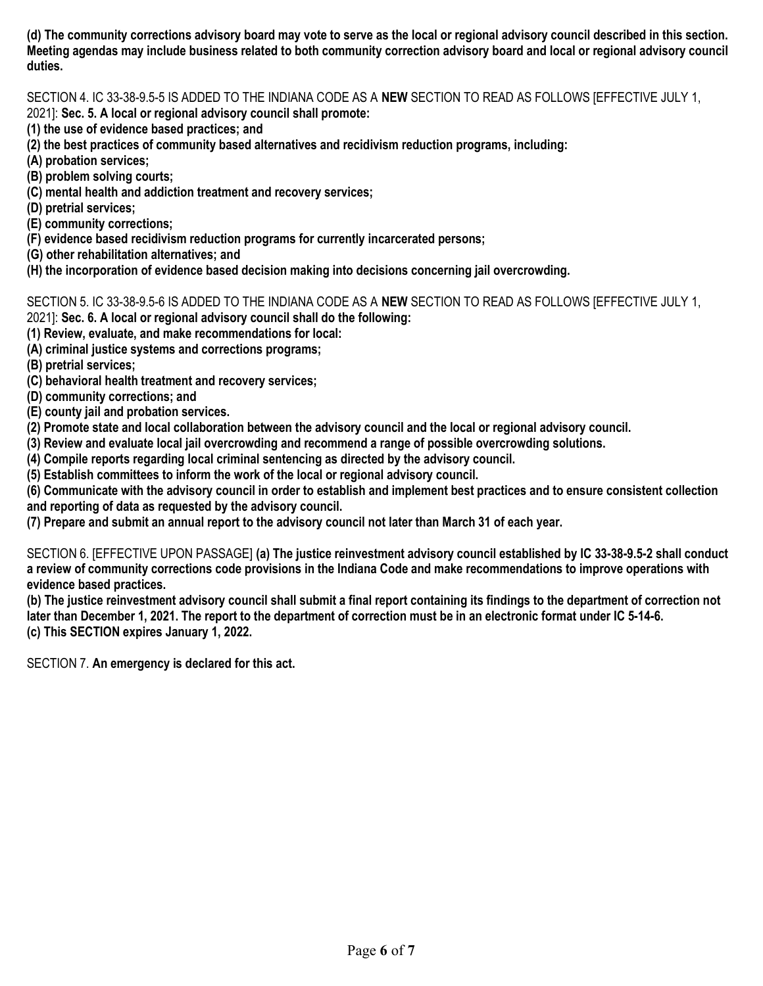(d) The community corrections advisory board may vote to serve as the local or regional advisory council described in this section. Meeting agendas may include business related to both community correction advisory board and local or regional advisory council duties.

SECTION 4. IC 33-38-9.5-5 IS ADDED TO THE INDIANA CODE AS A NEW SECTION TO READ AS FOLLOWS [EFFECTIVE JULY 1,

2021]: Sec. 5. A local or regional advisory council shall promote:

- (1) the use of evidence based practices; and
- (2) the best practices of community based alternatives and recidivism reduction programs, including:
- (A) probation services;
- (B) problem solving courts;
- (C) mental health and addiction treatment and recovery services;
- (D) pretrial services;
- (E) community corrections;
- (F) evidence based recidivism reduction programs for currently incarcerated persons;
- (G) other rehabilitation alternatives; and
- (H) the incorporation of evidence based decision making into decisions concerning jail overcrowding.

SECTION 5. IC 33-38-9.5-6 IS ADDED TO THE INDIANA CODE AS A NEW SECTION TO READ AS FOLLOWS [EFFECTIVE JULY 1,

- 2021]: Sec. 6. A local or regional advisory council shall do the following:
- (1) Review, evaluate, and make recommendations for local:
- (A) criminal justice systems and corrections programs;
- (B) pretrial services;
- (C) behavioral health treatment and recovery services;
- (D) community corrections; and
- (E) county jail and probation services.
- (2) Promote state and local collaboration between the advisory council and the local or regional advisory council.
- (3) Review and evaluate local jail overcrowding and recommend a range of possible overcrowding solutions.
- (4) Compile reports regarding local criminal sentencing as directed by the advisory council.
- (5) Establish committees to inform the work of the local or regional advisory council.

(6) Communicate with the advisory council in order to establish and implement best practices and to ensure consistent collection and reporting of data as requested by the advisory council.

(7) Prepare and submit an annual report to the advisory council not later than March 31 of each year.

SECTION 6. [EFFECTIVE UPON PASSAGE] (a) The justice reinvestment advisory council established by IC 33-38-9.5-2 shall conduct a review of community corrections code provisions in the Indiana Code and make recommendations to improve operations with evidence based practices.

(b) The justice reinvestment advisory council shall submit a final report containing its findings to the department of correction not later than December 1, 2021. The report to the department of correction must be in an electronic format under IC 5-14-6. (c) This SECTION expires January 1, 2022.

SECTION 7. An emergency is declared for this act.